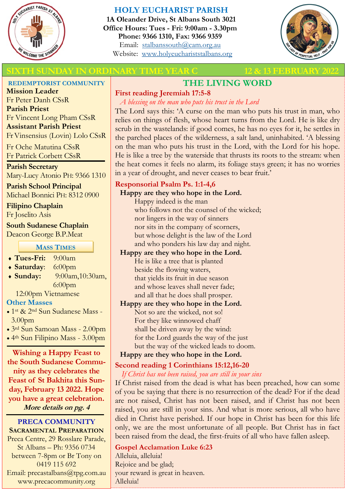

# **HOLY EUCHARIST PARISH**

**1A Oleander Drive, St Albans South 3021 Office Hours: Tues - Fri: 9:00am - 3.30pm Phone: 9366 1310, Fax: 9366 9359** Email: [stalbanssouth@cam.org.au](mailto:stalbanssouth@cam.org.au) Website:[www.holyeuchariststalbans.org](http://www.holyeuchariststalbans.org)



# **SIXTH SUNDAY IN ORDINARY TIME YEAR C** 12 & 13 FEBRUARY

#### **REDEMPTORIST COMMUNITY**

**Mission Leader** Fr Peter Danh CSsR **Parish Priest** Fr Vincent Long Pham CSsR **Assistant Parish Priest**  Fr Vinsensius (Lovin) Lolo CSsR

Fr Oche Matutina CSsR Fr Patrick Corbett CSsR

# **Parish Secretary**

Mary-Lucy Atonio PH: 9366 1310

**Parish School Principal** Michael Bonnici PH: 8312 0900

# **Filipino Chaplain**

Fr Joselito Asis

#### **South Sudanese Chaplain**

Deacon George B.P.Meat

### **MASS TIMES**

**Tues-Fri:** 9:00am

# **Saturday**: 6:00pm

 **Sunday:** 9:00am,10:30am, 6:00pm

12:00pm Vietnamese

# **Other Masses**

- 1st & 2nd Sun Sudanese Mass 3.00pm
- 3rd Sun Samoan Mass 2.00pm
- 4th Sun Filipino Mass 3.00pm

**Wishing a Happy Feast to the South Sudanese Community as they celebrates the Feast of St Bakhita this Sunday, February 13 2022. Hope you have a great celebration. More details on pg. 4**

#### **PRECA COMMUNITY SACRAMENTAL PREPARATION**

Preca Centre, 29 Rosslare Parade, St Albans – Ph: 9356 0734 between 7-8pm or Br Tony on 0419 115 692 Email: precastalbans@tpg.com.au www.precacommunity.org

# **THE LIVING WORD**

# **First reading Jeremiah 17:5-8**

*A blessing on the man who puts his trust in the Lord* The Lord says this: 'A curse on the man who puts his trust in man, who relies on things of flesh, whose heart turns from the Lord. He is like dry scrub in the wastelands: if good comes, he has no eyes for it, he settles in the parched places of the wilderness, a salt land, uninhabited. 'A blessing on the man who puts his trust in the Lord, with the Lord for his hope. He is like a tree by the waterside that thrusts its roots to the stream: when the heat comes it feels no alarm, its foliage stays green; it has no worries in a year of drought, and never ceases to bear fruit.'

# **Responsorial Psalm Ps. 1:1-4,6**

# **Happy are they who hope in the Lord.**

Happy indeed is the man who follows not the counsel of the wicked; nor lingers in the way of sinners nor sits in the company of scorners, but whose delight is the law of the Lord and who ponders his law day and night.

# **Happy are they who hope in the Lord.**

He is like a tree that is planted beside the flowing waters, that yields its fruit in due season and whose leaves shall never fade; and all that he does shall prosper.

# **Happy are they who hope in the Lord.**

Not so are the wicked, not so! For they like winnowed chaff shall be driven away by the wind: for the Lord guards the way of the just but the way of the wicked leads to doom.

# **Happy are they who hope in the Lord.**

# **Second reading 1 Corinthians 15:12,16-20**

*If Christ has not been raised, you are still in your sins*

If Christ raised from the dead is what has been preached, how can some of you be saying that there is no resurrection of the dead? For if the dead are not raised, Christ has not been raised, and if Christ has not been raised, you are still in your sins. And what is more serious, all who have died in Christ have perished. If our hope in Christ has been for this life only, we are the most unfortunate of all people. But Christ has in fact been raised from the dead, the first-fruits of all who have fallen asleep.

**Gospel Acclamation Luke 6:23** Alleluia, alleluia! Rejoice and be glad; your reward is great in heaven. Alleluia!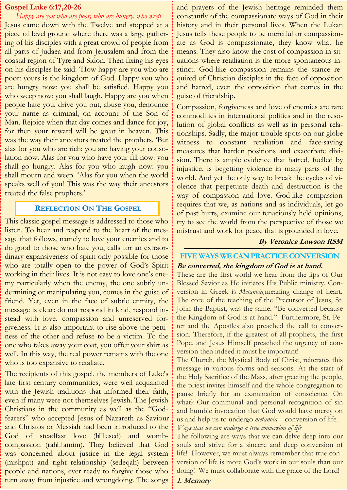#### **Gospel Luke 6:17,20-26**

# *Happy are you who are poor, who are hungry, who weep*

Jesus came down with the Twelve and stopped at a piece of level ground where there was a large gathering of his disciples with a great crowd of people from all parts of Judaea and from Jerusalem and from the coastal region of Tyre and Sidon. Then fixing his eyes on his disciples he said: 'How happy are you who are poor: yours is the kingdom of God. Happy you who are hungry now: you shall be satisfied. Happy you who weep now: you shall laugh. Happy are you when people hate you, drive you out, abuse you, denounce your name as criminal, on account of the Son of Man. Rejoice when that day comes and dance for joy, for then your reward will be great in heaven. This was the way their ancestors treated the prophets. 'But alas for you who are rich: you are having your consolation now. Alas for you who have your fill now: you shall go hungry. Alas for you who laugh now: you shall mourn and weep. 'Alas for you when the world speaks well of you! This was the way their ancestors treated the false prophets.'

#### **REFLECTION ON THE GOSPEL**

This classic gospel message is addressed to those who listen. To hear and respond to the heart of the message that follows, namely to love your enemies and to do good to those who hate you, calls for an extraordinary expansiveness of spirit only possible for those who are totally open to the power of God's Spirit working in their lives. It is not easy to love one's enemy particularly when the enemy, the one subtly undermining or manipulating you, comes in the guise of friend. Yet, even in the face of subtle enmity, the message is clear: do not respond in kind, respond instead with love, compassion and unreserved forgiveness. It is also important to rise above the pettiness of the other and refuse to be a victim. To the one who takes away your coat, you offer your shirt as well. In this way, the real power remains with the one who is too expansive to retaliate.

The recipients of this gospel, the members of Luke's late first century communities, were well acquainted with the Jewish traditions that informed their faith, even if many were not themselves Jewish. The Jewish Christians in the community as well as the "Godfearers" who accepted Jesus of Nazareth as Saviour and Christos or Messiah had been introduced to the God of steadfast love  $(h \Box \text{ esed})$  and wombcompassion (rah $\Box$ amîm). They believed that God was concerned about justice in the legal system (mishpat) and right relationship (sedeqah) between people and nations, ever ready to forgive those who turn away from injustice and wrongdoing. The songs

and prayers of the Jewish heritage reminded them constantly of the compassionate ways of God in their history and in their personal lives. When the Lukan Jesus tells these people to be merciful or compassionate as God is compassionate, they know what he means. They also know the cost of compassion in situations where retaliation is the more spontaneous instinct. God-like compassion remains the stance required of Christian disciples in the face of opposition and hatred, even the opposition that comes in the guise of friendship.

Compassion, forgiveness and love of enemies are rare commodities in international politics and in the resolution of global conflicts as well as in personal relationships. Sadly, the major trouble spots on our globe witness to constant retaliation and face-saving measures that harden positions and exacerbate division. There is ample evidence that hatred, fuelled by injustice, is begetting violence in many parts of the world. And yet the only way to break the cycles of violence that perpetuate death and destruction is the way of compassion and love. God-like compassion requires that we, as nations and as individuals, let go of past hurts, examine our tenaciously held opinions, try to see the world from the perspective of those we mistrust and work for peace that is grounded in love.

#### **By Veronica Lawson RSM**

# **FIVE WAYS WE CAN PRACTICE CONVERSION Be converted, the kingdom of God is at hand.**

These are the first world we hear from the lips of Our Blessed Savior as He initiates His Public ministry. Conversion in Greek is *Metanoia,*meaning change of heart. The core of the teaching of the Precursor of Jesus, St. John the Baptist, was the same, "Be converted because the Kingdom of God is at hand." Furthermore, St. Peter and the Apostles also preached the call to conversion. Therefore, if the greatest of all prophets, the first Pope, and Jesus Himself preached the urgency of conversion then indeed it must be important!

The Church, the Mystical Body of Christ, reiterates this message in various forms and seasons. At the start of the Holy Sacrifice of the Mass, after greeting the people, the priest invites himself and the whole congregation to pause briefly for an examination of conscience. On what? Our communal and personal recognition of sin and humble invocation that God would have mercy on us and help us to undergo *metanoia*—conversion of life. *Ways that we can undergo a true conversion of life*

The following are ways that we can delve deep into our souls and strive for a sincere and deep conversion of life! However, we must always remember that true conversion of life is more God's work in our souls than our doing! We must collaborate with the grace of the Lord!

#### **1. Memory**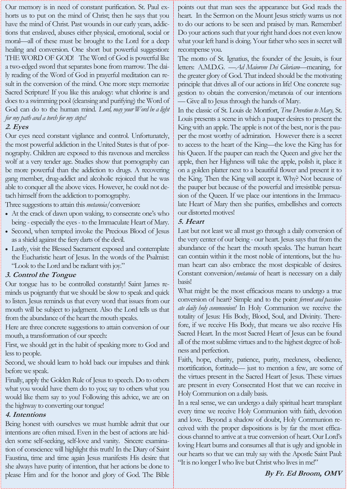Our memory is in need of constant purification. St. Paul exhorts us to put on the mind of Christ; then he says that you have the mind of Christ. Past wounds in our early years, addictions that enslaved, abuses either physical, emotional, social or moral—all of these must be brought to the Lord for a deep healing and conversion. One short but powerful suggestion: THE WORD OF GOD! The Word of God is powerful like a two-edged sword that separates bone from marrow. The daily reading of the Word of God in prayerful meditation can result in the conversion of the mind. One more step: memorize Sacred Scripture! If you like this analogy: what chlorine is and does to a swimming pool (cleansing and purifying) the Word of God can do to the human mind. *Lord, may your Word be a light for my path and a torch for my steps!*

# **2. Eyes**

Our eyes need constant vigilance and control. Unfortunately, the most powerful addiction in the United States is that of pornography. Children are exposed to this ravenous and merciless wolf at a very tender age. Studies show that pornography can be more powerful than the addiction to drugs. A recovering gang member, drug-addict and alcoholic rejoiced that he was able to conquer all the above vices. However, he could not detach himself from the addiction to pornography.

Three suggestions to attain this*metanoia*/conversion:

- At the crack of dawn upon waking, to consecrate one's who being - especially the eyes - to the Immaculate Heart of Mary.
- Second, when tempted invoke the Precious Blood of Jesus as a shield against the fiery darts of the devil.
- Lastly, visit the Blessed Sacrament exposed and contemplate the Eucharistic heart of Jesus. In the words of the Psalmist: "Look to the Lord and be radiant with joy."

# **3. Control the Tongue**

Our tongue has to be controlled constantly! Saint James reminds us poignantly that we should be slow to speak and quick to listen. Jesus reminds us that every word that issues from our mouth will be subject to judgment. Also the Lord tells us that from the abundance of the heart the mouth speaks.

Here are three concrete suggestions to attain conversion of our mouth, a transformation of our speech:

First, we should get in the habit of speaking more to God and less to people.

Second, we should learn to hold back our impulses and think before we speak.

Finally, apply the Golden Rule of Jesus to speech. Do to others what you would have them do to you; say to others what you would like them say to you! Following this advice, we are on the highway to converting our tongue!

# **4. Intentions**

Being honest with ourselves we must humble admit that our intentions are often mixed. Even in the best of actions are hidden some self-seeking, self-love and vanity. Sincere examination of conscience will highlight this truth! In the Diary of Saint Faustina, time and time again Jesus manifests His desire that she always have purity of intention, that her actions be done to please Him and for the honor and glory of God. The Bible points out that man sees the appearance but God reads the heart. In the Sermon on the Mount Jesus strictly warns us not to do our actions to be seen and praised by man. Remember! Do your actions such that your right hand does not even know what your left hand is doing. Your father who sees in secret will recompense you.

The motto of St. Ignatius, the founder of the Jesuits, is four letters: A.M.D.G. —*Ad Maiorem Dei Gloriam*—meaning, for the greater glory of God. That indeed should be the motivating principle that drives all of our actions in life! One concrete suggestion to obtain the conversion/metanoia of our intentions —Give all to Jesus through the hands of Mary.

In the classic of St. Louis de Montfort, *True Devotion to Mary,* St. Louis presents a scene in which a pauper desires to present the King with an apple. The apple is not of the best, nor is the pauper the most worthy of admiration. However there is a secret to access to the heart of the King—the love the King has for his Queen. If the pauper can reach the Queen and give her the apple, then her Highness will take the apple, polish it, place it on a golden platter next to a beautiful flower and present it to the King. Then the King will accept it. Why? Not because of the pauper but because of the powerful and irresistible persuasion of the Queen. If we place our intentions in the Immaculate Heart of Mary then she purifies, embellishes and corrects our distorted motives!

# **5. Heart**

Last but not least we all must go through a daily conversion of the very center of our being - our heart. Jesus says that from the abundance of the heart the mouth speaks. The human heart can contain within it the most noble of intentions, but the human heart can also embrace the most despicable of desires. Constant conversion/*metanoia* of heart is necessary on a daily basis!

What might be the most efficacious means to undergo a true conversion of heart? Simple and to the point: *fervent and passionate daily holy communion!* In Holy Communion we receive the totality of Jesus: His Body, Blood, Soul, and Divinity. Therefore, if we receive His Body, that means we also receive His Sacred Heart. In the most Sacred Heart of Jesus can be found all of the most sublime virtues and to the highest degree of holiness and perfection.

Faith, hope, charity, patience, purity, meekness, obedience, mortification, fortitude— just to mention a few, are some of the virtues present in the Sacred Heart of Jesus. These virtues are present in every Consecrated Host that we can receive in Holy Communion on a daily basis.

In a real sense, we can undergo a daily spiritual heart transplant every time we receive Holy Communion with faith, devotion and love. Beyond a shadow of doubt, Holy Communion received with the proper dispositions is by far the most efficacious channel to arrive at a true conversion of heart. Our Lord's loving Heart burns and consumes all that is ugly and ignoble in our hearts so that we can truly say with the Apostle Saint Paul: "It is no longer I who live but Christ who lives in me!"

**By Fr. Ed Broom, OMV**